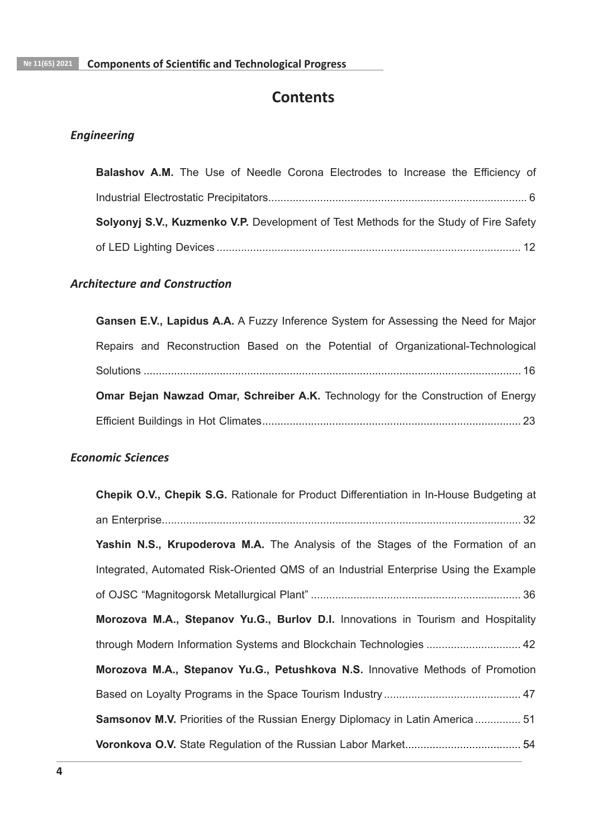# **Contents**

## *Engineering*

| <b>Balashov A.M.</b> The Use of Needle Corona Electrodes to Increase the Efficiency of |  |  |
|----------------------------------------------------------------------------------------|--|--|
|                                                                                        |  |  |
| Solyonyj S.V., Kuzmenko V.P. Development of Test Methods for the Study of Fire Safety  |  |  |
|                                                                                        |  |  |

## **Architecture and Construction**

| Gansen E.V., Lapidus A.A. A Fuzzy Inference System for Assessing the Need for Major |
|-------------------------------------------------------------------------------------|
| Repairs and Reconstruction Based on the Potential of Organizational-Technological   |
|                                                                                     |
| Omar Bejan Nawzad Omar, Schreiber A.K. Technology for the Construction of Energy    |
|                                                                                     |

## *Economic Sciences*

| Chepik O.V., Chepik S.G. Rationale for Product Differentiation in In-House Budgeting at |
|-----------------------------------------------------------------------------------------|
|                                                                                         |
| Yashin N.S., Krupoderova M.A. The Analysis of the Stages of the Formation of an         |
| Integrated, Automated Risk-Oriented QMS of an Industrial Enterprise Using the Example   |
|                                                                                         |
| Morozova M.A., Stepanov Yu.G., Burlov D.I. Innovations in Tourism and Hospitality       |
| through Modern Information Systems and Blockchain Technologies  42                      |
| Morozova M.A., Stepanov Yu.G., Petushkova N.S. Innovative Methods of Promotion          |
|                                                                                         |
| <b>Samsonov M.V.</b> Priorities of the Russian Energy Diplomacy in Latin America  51    |
|                                                                                         |